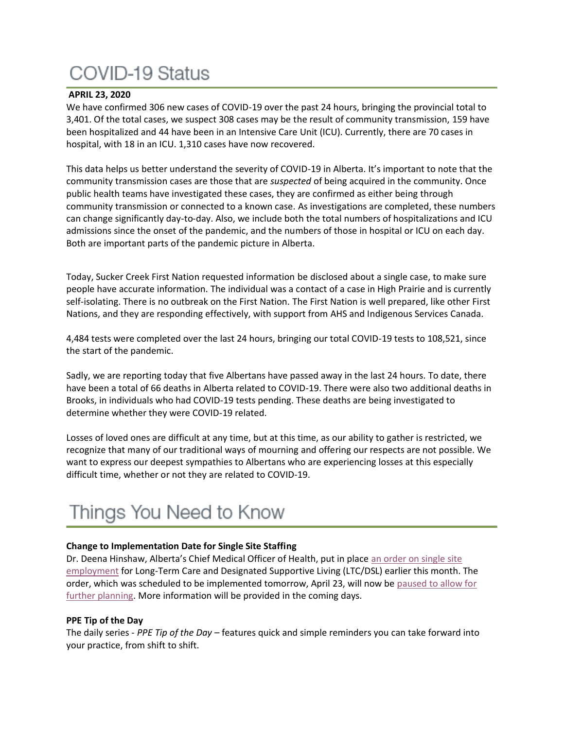# **COVID-19 Status**

### **APRIL 23, 2020**

We have confirmed 306 new cases of COVID-19 over the past 24 hours, bringing the provincial total to 3,401. Of the total cases, we suspect 308 cases may be the result of community transmission, 159 have been hospitalized and 44 have been in an Intensive Care Unit (ICU). Currently, there are 70 cases in hospital, with 18 in an ICU. 1,310 cases have now recovered.

This data helps us better understand the severity of COVID-19 in Alberta. It's important to note that the community transmission cases are those that are *suspected* of being acquired in the community. Once public health teams have investigated these cases, they are confirmed as either being through community transmission or connected to a known case. As investigations are completed, these numbers can change significantly day-to-day. Also, we include both the total numbers of hospitalizations and ICU admissions since the onset of the pandemic, and the numbers of those in hospital or ICU on each day. Both are important parts of the pandemic picture in Alberta.

Today, Sucker Creek First Nation requested information be disclosed about a single case, to make sure people have accurate information. The individual was a contact of a case in High Prairie and is currently self-isolating. There is no outbreak on the First Nation. The First Nation is well prepared, like other First Nations, and they are responding effectively, with support from AHS and Indigenous Services Canada.

4,484 tests were completed over the last 24 hours, bringing our total COVID-19 tests to 108,521, since the start of the pandemic.

Sadly, we are reporting today that five Albertans have passed away in the last 24 hours. To date, there have been a total of 66 deaths in Alberta related to COVID-19. There were also two additional deaths in Brooks, in individuals who had COVID-19 tests pending. These deaths are being investigated to determine whether they were COVID-19 related.

Losses of loved ones are difficult at any time, but at this time, as our ability to gather is restricted, we recognize that many of our traditional ways of mourning and offering our respects are not possible. We want to express our deepest sympathies to Albertans who are experiencing losses at this especially difficult time, whether or not they are related to COVID-19.

## Things You Need to Know

### **Change to Implementation Date for Single Site Staffing**

Dr. Deena Hinshaw, Alberta's Chief Medical Officer of Health, put in place [an order on single site](https://open.alberta.ca/publications/cmoh-order-10-2020-2020-covid-19-response)  [employment](https://open.alberta.ca/publications/cmoh-order-10-2020-2020-covid-19-response) for Long-Term Care and Designated Supportive Living (LTC/DSL) earlier this month. The order, which was scheduled to be implemented tomorrow, April 23, will now be paused to allow for [further planning.](https://insite.albertahealthservices.ca/main/assets/tls/ep/tls-ep-covid-19-cmoh-letter-2020-04-22.pdf) More information will be provided in the coming days.

### **PPE Tip of the Day**

The daily series - *PPE Tip of the Day* – features quick and simple reminders you can take forward into your practice, from shift to shift.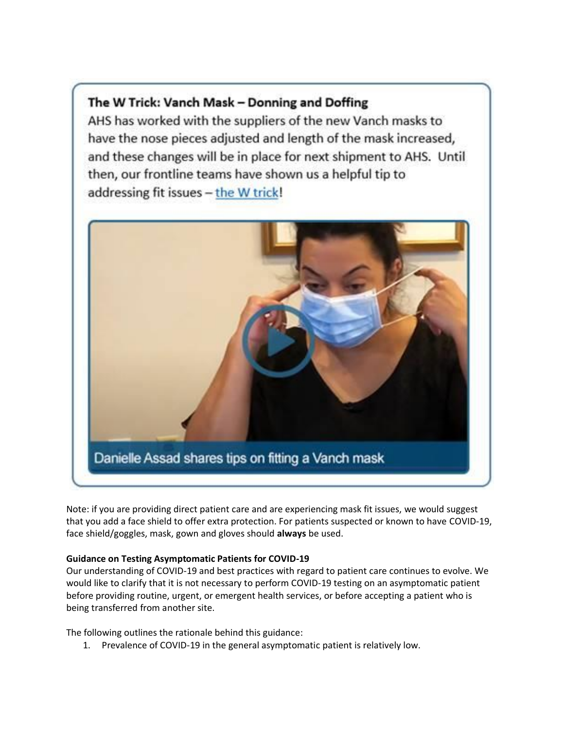### The W Trick: Vanch Mask - Donning and Doffing

AHS has worked with the suppliers of the new Vanch masks to have the nose pieces adjusted and length of the mask increased, and these changes will be in place for next shipment to AHS. Until then, our frontline teams have shown us a helpful tip to addressing fit issues - the W trick!



Note: if you are providing direct patient care and are experiencing mask fit issues, we would suggest that you add a face shield to offer extra protection. For patients suspected or known to have COVID-19, face shield/goggles, mask, gown and gloves should **always** be used.

### **Guidance on Testing Asymptomatic Patients for COVID-19**

Our understanding of COVID-19 and best practices with regard to patient care continues to evolve. We would like to clarify that it is not necessary to perform COVID-19 testing on an asymptomatic patient before providing routine, urgent, or emergent health services, or before accepting a patient who is being transferred from another site.

The following outlines the rationale behind this guidance:

1. Prevalence of COVID-19 in the general asymptomatic patient is relatively low.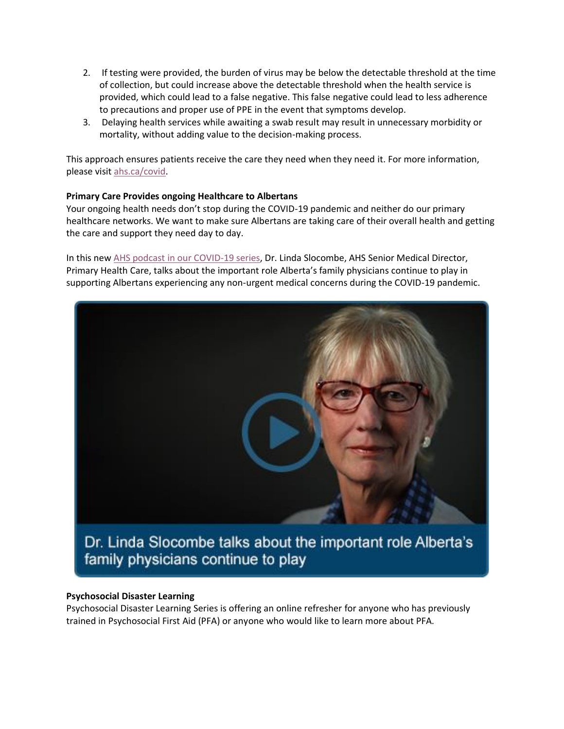- 2. If testing were provided, the burden of virus may be below the detectable threshold at the time of collection, but could increase above the detectable threshold when the health service is provided, which could lead to a false negative. This false negative could lead to less adherence to precautions and proper use of PPE in the event that symptoms develop.
- 3. Delaying health services while awaiting a swab result may result in unnecessary morbidity or mortality, without adding value to the decision-making process.

This approach ensures patients receive the care they need when they need it. For more information, please visit [ahs.ca/covid.](http://www.ahs.ca/covid)

### **Primary Care Provides ongoing Healthcare to Albertans**

Your ongoing health needs don't stop during the COVID-19 pandemic and neither do our primary healthcare networks. We want to make sure Albertans are taking care of their overall health and getting the care and support they need day to day.

In this new [AHS podcast in our COVID-19 series,](http://www.ahs.ca/covidpodcast) Dr. Linda Slocombe, AHS Senior Medical Director, Primary Health Care, talks about the important role Alberta's family physicians continue to play in supporting Albertans experiencing any non-urgent medical concerns during the COVID-19 pandemic.



family physicians continue to play

### **Psychosocial Disaster Learning**

Psychosocial Disaster Learning Series is offering an online refresher for anyone who has previously trained in Psychosocial First Aid (PFA) or anyone who would like to learn more about PFA.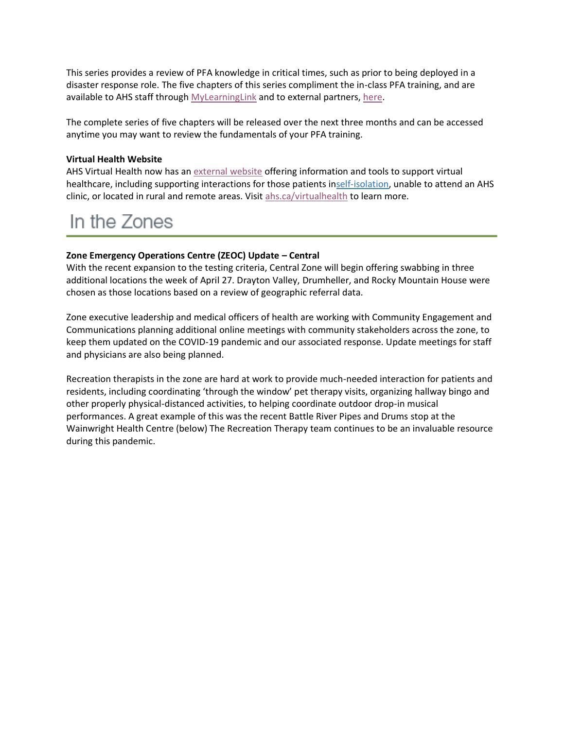This series provides a review of PFA knowledge in critical times, such as prior to being deployed in a disaster response role. The five chapters of this series compliment the in-class PFA training, and are available to AHS staff through [MyLearningLink](https://insite.albertahealthservices.ca/hr/Page1881.aspx) and to external partners, [here.](https://www.albertahealthservices.ca/info/Page17072.aspx)

The complete series of five chapters will be released over the next three months and can be accessed anytime you may want to review the fundamentals of your PFA training.

### **Virtual Health Website**

AHS Virtual Health now has an [external website](http://www.ahs.ca/virtualhealth) offering information and tools to support virtual healthcare, including supporting interactions for those patients i[nself-isolation,](https://www.alberta.ca/isolation.aspx) unable to attend an AHS clinic, or located in rural and remote areas. Visit [ahs.ca/virtualhealth](http://www.ahs.ca/virtualhealth) to learn more.

### In the Zones

### **Zone Emergency Operations Centre (ZEOC) Update – Central**

With the recent expansion to the testing criteria, Central Zone will begin offering swabbing in three additional locations the week of April 27. Drayton Valley, Drumheller, and Rocky Mountain House were chosen as those locations based on a review of geographic referral data.

Zone executive leadership and medical officers of health are working with Community Engagement and Communications planning additional online meetings with community stakeholders across the zone, to keep them updated on the COVID-19 pandemic and our associated response. Update meetings for staff and physicians are also being planned.

Recreation therapists in the zone are hard at work to provide much-needed interaction for patients and residents, including coordinating 'through the window' pet therapy visits, organizing hallway bingo and other properly physical-distanced activities, to helping coordinate outdoor drop-in musical performances. A great example of this was the recent Battle River Pipes and Drums stop at the Wainwright Health Centre (below) The Recreation Therapy team continues to be an invaluable resource during this pandemic.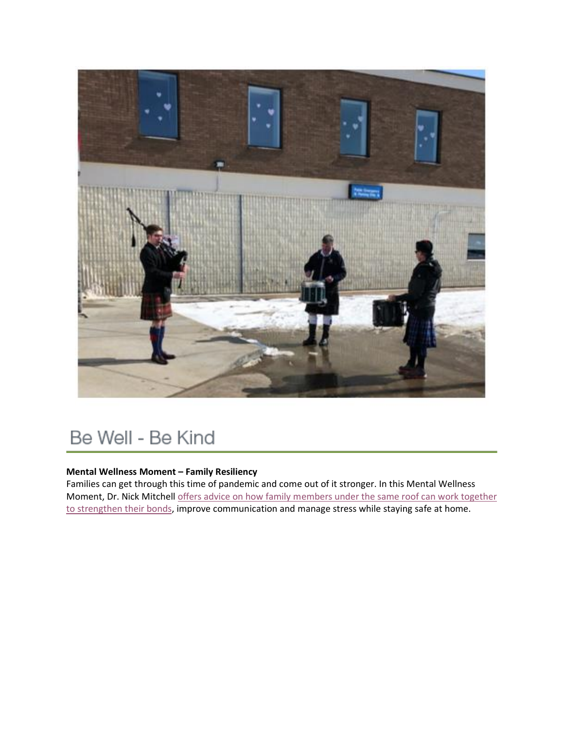![](_page_4_Picture_0.jpeg)

# Be Well - Be Kind

### **Mental Wellness Moment – Family Resiliency**

Families can get through this time of pandemic and come out of it stronger. In this Mental Wellness Moment, Dr. Nick Mitchell [offers advice on how family members under the same roof can work together](https://www.albertahealthservices.ca/topics/Page17012.aspx)  [to strengthen their bonds,](https://www.albertahealthservices.ca/topics/Page17012.aspx) improve communication and manage stress while staying safe at home.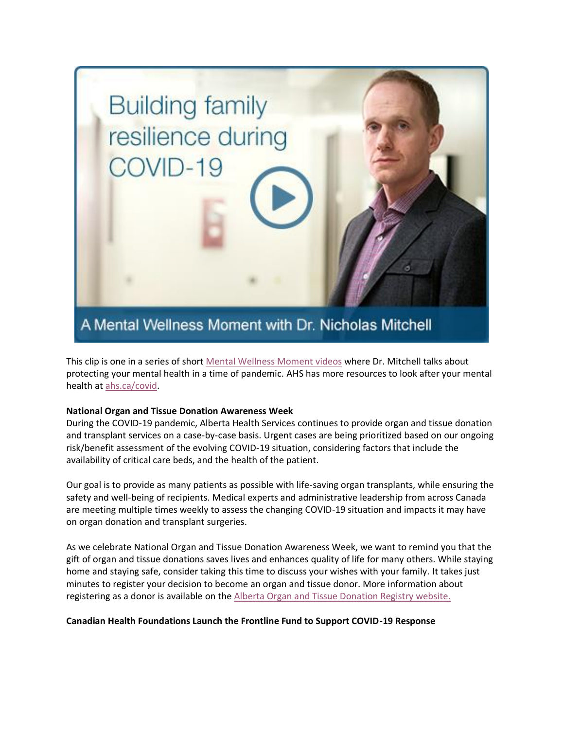![](_page_5_Picture_0.jpeg)

This clip is one in a series of short [Mental Wellness Moment videos](https://www.albertahealthservices.ca/topics/Page17012.aspx) where Dr. Mitchell talks about protecting your mental health in a time of pandemic. AHS has more resources to look after your mental health at [ahs.ca/covid.](http://www.ahs.ca/covid)

### **National Organ and Tissue Donation Awareness Week**

During the COVID-19 pandemic, Alberta Health Services continues to provide organ and tissue donation and transplant services on a case-by-case basis. Urgent cases are being prioritized based on our ongoing risk/benefit assessment of the evolving COVID-19 situation, considering factors that include the availability of critical care beds, and the health of the patient.

Our goal is to provide as many patients as possible with life-saving organ transplants, while ensuring the safety and well-being of recipients. Medical experts and administrative leadership from across Canada are meeting multiple times weekly to assess the changing COVID-19 situation and impacts it may have on organ donation and transplant surgeries.

As we celebrate National Organ and Tissue Donation Awareness Week, we want to remind you that the gift of organ and tissue donations saves lives and enhances quality of life for many others. While staying home and staying safe, consider taking this time to discuss your wishes with your family. It takes just minutes to register your decision to become an organ and tissue donor. More information about registering as a donor is available on the [Alberta Organ and Tissue Donation Registry website.](https://myhealth.alberta.ca/Pages/OTDRHome.aspx)

### **Canadian Health Foundations Launch the Frontline Fund to Support COVID-19 Response**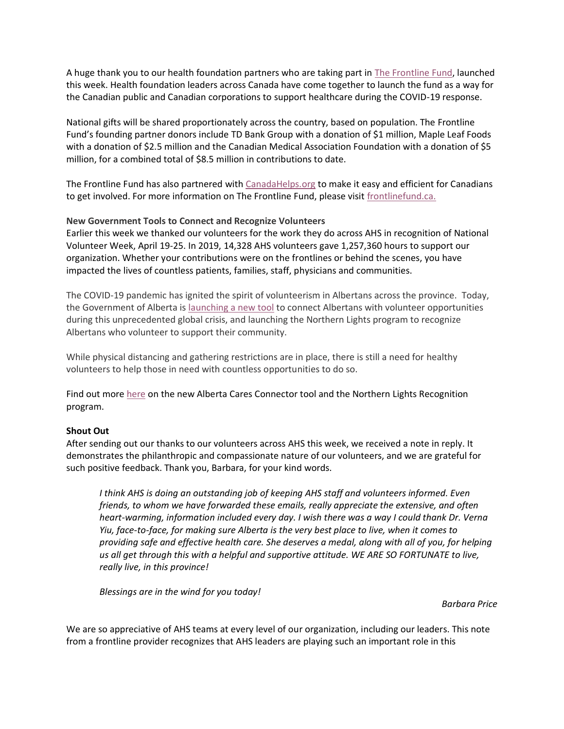A huge thank you to our health foundation partners who are taking part in [The Frontline Fund,](http://www.frontlinefund.ca/) launched this week. Health foundation leaders across Canada have come together to launch the fund as a way for the Canadian public and Canadian corporations to support healthcare during the COVID-19 response.

National gifts will be shared proportionately across the country, based on population. The Frontline Fund's founding partner donors include TD Bank Group with a donation of \$1 million, Maple Leaf Foods with a donation of \$2.5 million and the Canadian Medical Association Foundation with a donation of \$5 million, for a combined total of \$8.5 million in contributions to date.

The Frontline Fund has also partnered with [CanadaHelps.org](http://www.canadahelps.org/) to make it easy and efficient for Canadians to get involved. For more information on The Frontline Fund, please visit [frontlinefund.ca.](http://www.frontlinefund.ca/)

### **New Government Tools to Connect and Recognize Volunteers**

Earlier this week we thanked our volunteers for the work they do across AHS in recognition of National Volunteer Week, April 19-25. In 2019, 14,328 AHS volunteers gave 1,257,360 hours to support our organization. Whether your contributions were on the frontlines or behind the scenes, you have impacted the lives of countless patients, families, staff, physicians and communities.

The COVID-19 pandemic has ignited the spirit of volunteerism in Albertans across the province. Today, the Government of Alberta is [launching a new tool](https://www.alberta.ca/release.cfm?xID=70139659B9AA2-D541-90C2-E367082C8331F71C) to connect Albertans with volunteer opportunities during this unprecedented global crisis, and launching the Northern Lights program to recognize Albertans who volunteer to support their community.

While physical distancing and gathering restrictions are in place, there is still a need for healthy volunteers to help those in need with countless opportunities to do so.

Find out more [here](https://www.alberta.ca/release.cfm?xID=70139659B9AA2-D541-90C2-E367082C8331F71C) on the new Alberta Cares Connector tool and the Northern Lights Recognition program.

### **Shout Out**

After sending out our thanks to our volunteers across AHS this week, we received a note in reply. It demonstrates the philanthropic and compassionate nature of our volunteers, and we are grateful for such positive feedback. Thank you, Barbara, for your kind words.

*I think AHS is doing an outstanding job of keeping AHS staff and volunteers informed. Even friends, to whom we have forwarded these emails, really appreciate the extensive, and often heart-warming, information included every day. I wish there was a way I could thank Dr. Verna Yiu, face-to-face, for making sure Alberta is the very best place to live, when it comes to providing safe and effective health care. She deserves a medal, along with all of you, for helping us all get through this with a helpful and supportive attitude. WE ARE SO FORTUNATE to live, really live, in this province!*

*Blessings are in the wind for you today!*

#### *Barbara Price*

We are so appreciative of AHS teams at every level of our organization, including our leaders. This note from a frontline provider recognizes that AHS leaders are playing such an important role in this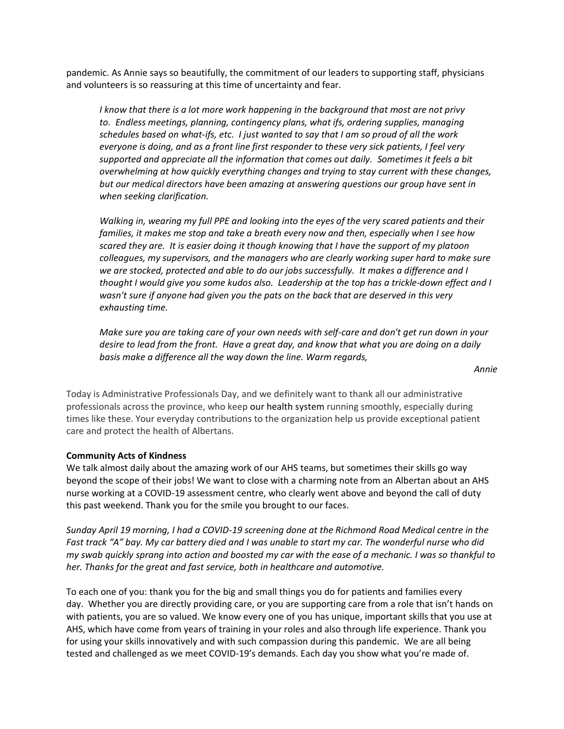pandemic. As Annie says so beautifully, the commitment of our leaders to supporting staff, physicians and volunteers is so reassuring at this time of uncertainty and fear.

*I know that there is a lot more work happening in the background that most are not privy to. Endless meetings, planning, contingency plans, what ifs, ordering supplies, managing schedules based on what-ifs, etc. I just wanted to say that I am so proud of all the work everyone is doing, and as a front line first responder to these very sick patients, I feel very supported and appreciate all the information that comes out daily. Sometimes it feels a bit overwhelming at how quickly everything changes and trying to stay current with these changes, but our medical directors have been amazing at answering questions our group have sent in when seeking clarification.*

*Walking in, wearing my full PPE and looking into the eyes of the very scared patients and their families, it makes me stop and take a breath every now and then, especially when I see how scared they are. It is easier doing it though knowing that I have the support of my platoon colleagues, my supervisors, and the managers who are clearly working super hard to make sure we are stocked, protected and able to do our jobs successfully. It makes a difference and I thought I would give you some kudos also. Leadership at the top has a trickle-down effect and I wasn't sure if anyone had given you the pats on the back that are deserved in this very exhausting time.*

*Make sure you are taking care of your own needs with self-care and don't get run down in your desire to lead from the front. Have a great day, and know that what you are doing on a daily basis make a difference all the way down the line. Warm regards,*

*Annie*

Today is Administrative Professionals Day, and we definitely want to thank all our administrative professionals across the province, who keep our health system running smoothly, especially during times like these. Your everyday contributions to the organization help us provide exceptional patient care and protect the health of Albertans.

### **Community Acts of Kindness**

We talk almost daily about the amazing work of our AHS teams, but sometimes their skills go way beyond the scope of their jobs! We want to close with a charming note from an Albertan about an AHS nurse working at a COVID-19 assessment centre, who clearly went above and beyond the call of duty this past weekend. Thank you for the smile you brought to our faces.

*Sunday April 19 morning, I had a COVID-19 screening done at the Richmond Road Medical centre in the Fast track "A" bay. My car battery died and I was unable to start my car. The wonderful nurse who did my swab quickly sprang into action and boosted my car with the ease of a mechanic. I was so thankful to her. Thanks for the great and fast service, both in healthcare and automotive.*

To each one of you: thank you for the big and small things you do for patients and families every day. Whether you are directly providing care, or you are supporting care from a role that isn't hands on with patients, you are so valued. We know every one of you has unique, important skills that you use at AHS, which have come from years of training in your roles and also through life experience. Thank you for using your skills innovatively and with such compassion during this pandemic. We are all being tested and challenged as we meet COVID-19's demands. Each day you show what you're made of.